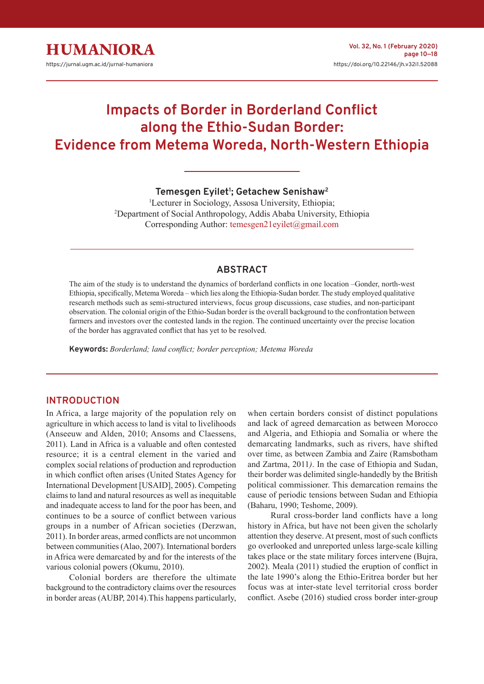

# **Impacts of Border in Borderland Conflict along the Ethio-Sudan Border: Evidence from Metema Woreda, North-Western Ethiopia**

**Temesgen Eyilet<sup>1</sup> ; Getachew Senishaw<sup>2</sup>**

<sup>1</sup>Lecturer in Sociology, Assosa University, Ethiopia; <sup>2</sup>Department of Social Anthropology, Addis Ababa University, Ethiopia Corresponding Author: temesgen21eyilet@gmail.com

# **ABSTRACT**

The aim of the study is to understand the dynamics of borderland conflicts in one location –Gonder, north-west Ethiopia, specifically, Metema Woreda – which lies along the Ethiopia-Sudan border. The study employed qualitative research methods such as semi-structured interviews, focus group discussions, case studies, and non-participant observation. The colonial origin of the Ethio-Sudan border is the overall background to the confrontation between farmers and investors over the contested lands in the region. The continued uncertainty over the precise location of the border has aggravated conflict that has yet to be resolved.

**Keywords:** *Borderland; land conflict; border perception; Metema Woreda*

### **INTRODUCTION**

In Africa, a large majority of the population rely on agriculture in which access to land is vital to livelihoods (Anseeuw and Alden, 2010; Ansoms and Claessens, 2011). Land in Africa is a valuable and often contested resource; it is a central element in the varied and complex social relations of production and reproduction in which conflict often arises (United States Agency for International Development [USAID], 2005). Competing claims to land and natural resources as well as inequitable and inadequate access to land for the poor has been, and continues to be a source of conflict between various groups in a number of African societies (Derzwan, 2011). In border areas, armed conflicts are not uncommon between communities (Alao, 2007). International borders in Africa were demarcated by and for the interests of the various colonial powers (Okumu, 2010).

Colonial borders are therefore the ultimate background to the contradictory claims over the resources in border areas (AUBP, 2014).This happens particularly,

when certain borders consist of distinct populations and lack of agreed demarcation as between Morocco and Algeria, and Ethiopia and Somalia or where the demarcating landmarks, such as rivers, have shifted over time, as between Zambia and Zaire (Ramsbotham and Zartma, 2011*)*. In the case of Ethiopia and Sudan, their border was delimited single-handedly by the British political commissioner. This demarcation remains the cause of periodic tensions between Sudan and Ethiopia (Baharu, 1990; Teshome, 2009).

Rural cross-border land conflicts have a long history in Africa, but have not been given the scholarly attention they deserve. At present, most of such conflicts go overlooked and unreported unless large-scale killing takes place or the state military forces intervene (Bujra, 2002). Meala (2011) studied the eruption of conflict in the late 1990's along the Ethio-Eritrea border but her focus was at inter-state level territorial cross border conflict. Asebe (2016) studied cross border inter-group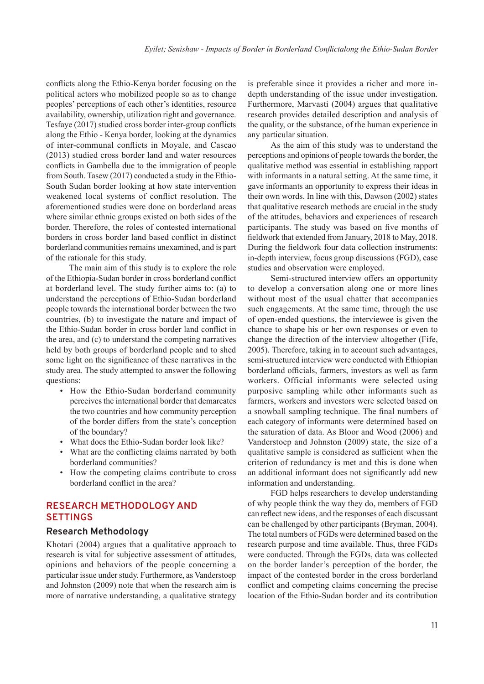conflicts along the Ethio-Kenya border focusing on the political actors who mobilized people so as to change peoples' perceptions of each other's identities, resource availability, ownership, utilization right and governance. Tesfaye (2017) studied cross border inter-group conflicts along the Ethio - Kenya border, looking at the dynamics of inter-communal conflicts in Moyale, and Cascao (2013) studied cross border land and water resources conflicts in Gambella due to the immigration of people from South. Tasew (2017) conducted a study in the Ethio-South Sudan border looking at how state intervention weakened local systems of conflict resolution. The aforementioned studies were done on borderland areas where similar ethnic groups existed on both sides of the border. Therefore, the roles of contested international borders in cross border land based conflict in distinct borderland communities remains unexamined, and is part of the rationale for this study.

The main aim of this study is to explore the role of the Ethiopia-Sudan border in cross borderland conflict at borderland level. The study further aims to: (a) to understand the perceptions of Ethio-Sudan borderland people towards the international border between the two countries, (b) to investigate the nature and impact of the Ethio-Sudan border in cross border land conflict in the area, and (c) to understand the competing narratives held by both groups of borderland people and to shed some light on the significance of these narratives in the study area. The study attempted to answer the following questions:

- How the Ethio-Sudan borderland community perceives the international border that demarcates the two countries and how community perception of the border differs from the state's conception of the boundary?
- What does the Ethio-Sudan border look like?
- What are the conflicting claims narrated by both borderland communities?
- How the competing claims contribute to cross borderland conflict in the area?

# **RESEARCH METHODOLOGY AND SETTINGS**

#### **Research Methodology**

Khotari (2004) argues that a qualitative approach to research is vital for subjective assessment of attitudes, opinions and behaviors of the people concerning a particular issue under study. Furthermore, as Vanderstoep and Johnston (2009) note that when the research aim is more of narrative understanding, a qualitative strategy

is preferable since it provides a richer and more indepth understanding of the issue under investigation. Furthermore, Marvasti (2004) argues that qualitative research provides detailed description and analysis of the quality, or the substance, of the human experience in any particular situation.

As the aim of this study was to understand the perceptions and opinions of people towards the border, the qualitative method was essential in establishing rapport with informants in a natural setting. At the same time, it gave informants an opportunity to express their ideas in their own words. In line with this, Dawson (2002) states that qualitative research methods are crucial in the study of the attitudes, behaviors and experiences of research participants. The study was based on five months of fieldwork that extended from January, 2018 to May, 2018. During the fieldwork four data collection instruments: in-depth interview, focus group discussions (FGD), case studies and observation were employed.

Semi-structured interview offers an opportunity to develop a conversation along one or more lines without most of the usual chatter that accompanies such engagements. At the same time, through the use of open-ended questions, the interviewee is given the chance to shape his or her own responses or even to change the direction of the interview altogether (Fife, 2005). Therefore, taking in to account such advantages, semi-structured interview were conducted with Ethiopian borderland officials, farmers, investors as well as farm workers. Official informants were selected using purposive sampling while other informants such as farmers, workers and investors were selected based on a snowball sampling technique. The final numbers of each category of informants were determined based on the saturation of data. As Bloor and Wood (2006) and Vanderstoep and Johnston (2009) state, the size of a qualitative sample is considered as sufficient when the criterion of redundancy is met and this is done when an additional informant does not significantly add new information and understanding.

FGD helps researchers to develop understanding of why people think the way they do, members of FGD can reflect new ideas, and the responses of each discussant can be challenged by other participants (Bryman, 2004). The total numbers of FGDs were determined based on the research purpose and time available. Thus, three FGDs were conducted. Through the FGDs, data was collected on the border lander's perception of the border, the impact of the contested border in the cross borderland conflict and competing claims concerning the precise location of the Ethio-Sudan border and its contribution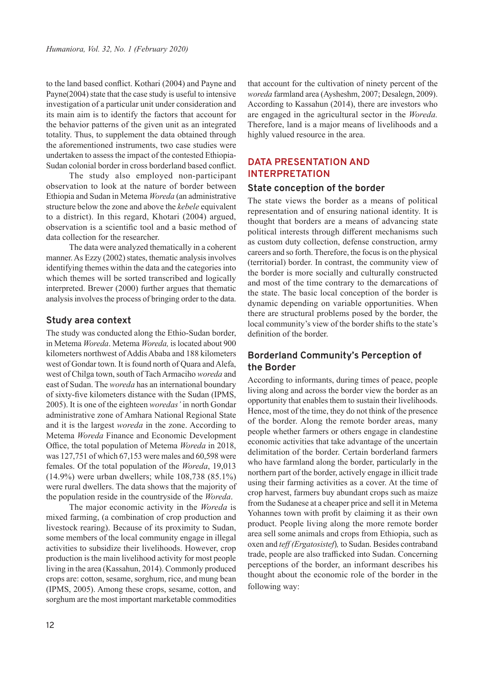to the land based conflict. Kothari (2004) and Payne and Payne(2004) state that the case study is useful to intensive investigation of a particular unit under consideration and its main aim is to identify the factors that account for the behavior patterns of the given unit as an integrated totality. Thus, to supplement the data obtained through the aforementioned instruments, two case studies were undertaken to assess the impact of the contested Ethiopia-Sudan colonial border in cross borderland based conflict.

The study also employed non-participant observation to look at the nature of border between Ethiopia and Sudan in Metema *Woreda* (an administrative structure below the zone and above the *kebele* equivalent to a district). In this regard, Khotari (2004) argued, observation is a scientific tool and a basic method of data collection for the researcher.

The data were analyzed thematically in a coherent manner. As Ezzy (2002) states, thematic analysis involves identifying themes within the data and the categories into which themes will be sorted transcribed and logically interpreted. Brewer (2000) further argues that thematic analysis involves the process of bringing order to the data.

## **Study area context**

The study was conducted along the Ethio-Sudan border, in Metema *Woreda*. Metema *Woreda,* is located about 900 kilometers northwest of Addis Ababa and 188 kilometers west of Gondar town. It is found north of Quara and Alefa, west of Chilga town, south of Tach Armaciho *woreda* and east of Sudan. The *woreda* has an international boundary of sixty-five kilometers distance with the Sudan (IPMS, 2005). It is one of the eighteen *woredas'* in north Gondar administrative zone of Amhara National Regional State and it is the largest *woreda* in the zone. According to Metema *Woreda* Finance and Economic Development Office, the total population of Metema *Woreda* in 2018, was 127,751 of which 67,153 were males and 60,598 were females. Of the total population of the *Woreda*, 19,013 (14.9%) were urban dwellers; while 108,738 (85.1%) were rural dwellers. The data shows that the majority of the population reside in the countryside of the *Woreda*.

The major economic activity in the *Woreda* is mixed farming, (a combination of crop production and livestock rearing). Because of its proximity to Sudan, some members of the local community engage in illegal activities to subsidize their livelihoods. However, crop production is the main livelihood activity for most people living in the area (Kassahun, 2014). Commonly produced crops are: cotton, sesame, sorghum, rice, and mung bean (IPMS, 2005). Among these crops, sesame, cotton, and sorghum are the most important marketable commodities

that account for the cultivation of ninety percent of the *woreda* farmland area (Aysheshm, 2007; Desalegn, 2009). According to Kassahun (2014), there are investors who are engaged in the agricultural sector in the *Woreda.* Therefore, land is a major means of livelihoods and a highly valued resource in the area.

# **DATA PRESENTATION AND INTERPRETATION**

## **State conception of the border**

The state views the border as a means of political representation and of ensuring national identity. It is thought that borders are a means of advancing state political interests through different mechanisms such as custom duty collection, defense construction, army careers and so forth. Therefore, the focus is on the physical (territorial) border. In contrast, the community view of the border is more socially and culturally constructed and most of the time contrary to the demarcations of the state. The basic local conception of the border is dynamic depending on variable opportunities. When there are structural problems posed by the border, the local community's view of the border shifts to the state's definition of the border.

# **Borderland Community's Perception of the Border**

According to informants, during times of peace, people living along and across the border view the border as an opportunity that enables them to sustain their livelihoods. Hence, most of the time, they do not think of the presence of the border. Along the remote border areas, many people whether farmers or others engage in clandestine economic activities that take advantage of the uncertain delimitation of the border. Certain borderland farmers who have farmland along the border, particularly in the northern part of the border, actively engage in illicit trade using their farming activities as a cover. At the time of crop harvest, farmers buy abundant crops such as maize from the Sudanese at a cheaper price and sell it in Metema Yohannes town with profit by claiming it as their own product. People living along the more remote border area sell some animals and crops from Ethiopia, such as oxen and *teff (Ergatosistef*)*,* to Sudan. Besides contraband trade, people are also trafficked into Sudan. Concerning perceptions of the border, an informant describes his thought about the economic role of the border in the following way: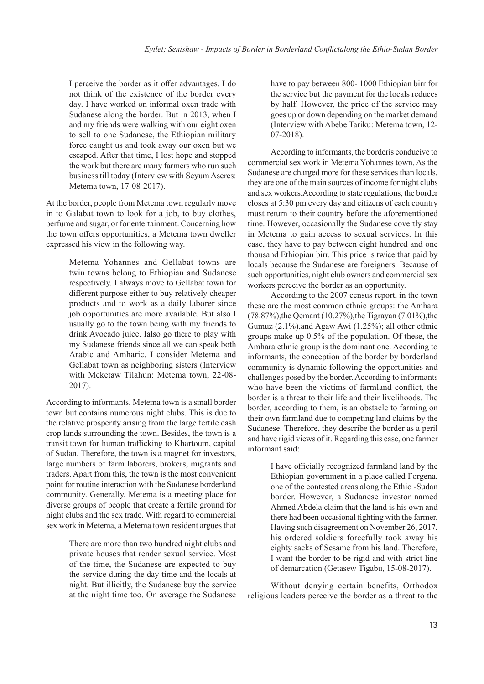I perceive the border as it offer advantages. I do not think of the existence of the border every day. I have worked on informal oxen trade with Sudanese along the border. But in 2013, when I and my friends were walking with our eight oxen to sell to one Sudanese, the Ethiopian military force caught us and took away our oxen but we escaped. After that time, I lost hope and stopped the work but there are many farmers who run such business till today (Interview with Seyum Aseres: Metema town, 17-08-2017).

At the border, people from Metema town regularly move in to Galabat town to look for a job, to buy clothes, perfume and sugar, or for entertainment. Concerning how the town offers opportunities, a Metema town dweller expressed his view in the following way.

> Metema Yohannes and Gellabat towns are twin towns belong to Ethiopian and Sudanese respectively. I always move to Gellabat town for different purpose either to buy relatively cheaper products and to work as a daily laborer since job opportunities are more available. But also I usually go to the town being with my friends to drink Avocado juice. Ialso go there to play with my Sudanese friends since all we can speak both Arabic and Amharic. I consider Metema and Gellabat town as neighboring sisters (Interview with Meketaw Tilahun: Metema town, 22-08- 2017).

According to informants, Metema town is a small border town but contains numerous night clubs. This is due to the relative prosperity arising from the large fertile cash crop lands surrounding the town. Besides, the town is a transit town for human trafficking to Khartoum, capital of Sudan. Therefore, the town is a magnet for investors, large numbers of farm laborers, brokers, migrants and traders. Apart from this, the town is the most convenient point for routine interaction with the Sudanese borderland community. Generally, Metema is a meeting place for diverse groups of people that create a fertile ground for night clubs and the sex trade. With regard to commercial sex work in Metema, a Metema town resident argues that

> There are more than two hundred night clubs and private houses that render sexual service. Most of the time, the Sudanese are expected to buy the service during the day time and the locals at night. But illicitly, the Sudanese buy the service at the night time too. On average the Sudanese

have to pay between 800- 1000 Ethiopian birr for the service but the payment for the locals reduces by half. However, the price of the service may goes up or down depending on the market demand (Interview with Abebe Tariku: Metema town, 12- 07-2018).

According to informants, the borderis conducive to commercial sex work in Metema Yohannes town. As the Sudanese are charged more for these services than locals, they are one of the main sources of income for night clubs and sex workers.According to state regulations, the border closes at 5:30 pm every day and citizens of each country must return to their country before the aforementioned time. However, occasionally the Sudanese covertly stay in Metema to gain access to sexual services. In this case, they have to pay between eight hundred and one thousand Ethiopian birr. This price is twice that paid by locals because the Sudanese are foreigners. Because of such opportunities, night club owners and commercial sex workers perceive the border as an opportunity.

According to the 2007 census report, in the town these are the most common ethnic groups: the Amhara  $(78.87\%)$ , the Qemant  $(10.27\%)$ , the Tigrayan  $(7.01\%)$ , the Gumuz (2.1%),and Agaw Awi (1.25%); all other ethnic groups make up 0.5% of the population. Of these, the Amhara ethnic group is the dominant one. According to informants, the conception of the border by borderland community is dynamic following the opportunities and challenges posed by the border. According to informants who have been the victims of farmland conflict, the border is a threat to their life and their livelihoods. The border, according to them, is an obstacle to farming on their own farmland due to competing land claims by the Sudanese. Therefore, they describe the border as a peril and have rigid views of it. Regarding this case, one farmer informant said:

> I have officially recognized farmland land by the Ethiopian government in a place called Forgena, one of the contested areas along the Ethio -Sudan border. However, a Sudanese investor named Ahmed Abdela claim that the land is his own and there had been occasional fighting with the farmer. Having such disagreement on November 26, 2017, his ordered soldiers forcefully took away his eighty sacks of Sesame from his land. Therefore, I want the border to be rigid and with strict line of demarcation (Getasew Tigabu, 15-08-2017).

Without denying certain benefits, Orthodox religious leaders perceive the border as a threat to the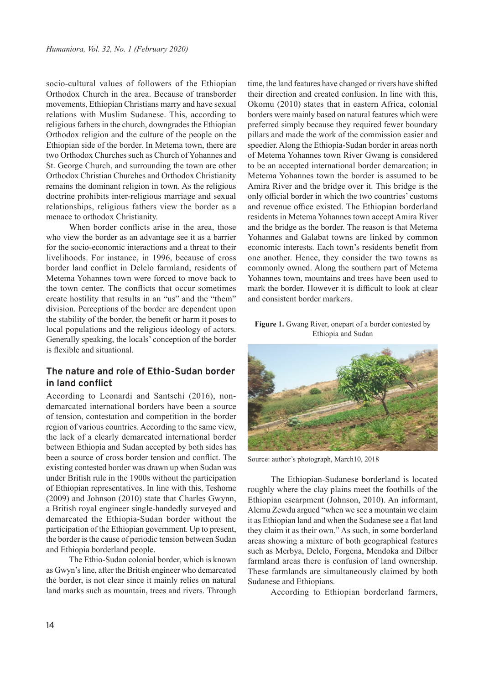socio-cultural values of followers of the Ethiopian Orthodox Church in the area. Because of transborder movements, Ethiopian Christians marry and have sexual relations with Muslim Sudanese. This, according to religious fathers in the church, downgrades the Ethiopian Orthodox religion and the culture of the people on the Ethiopian side of the border. In Metema town, there are two Orthodox Churches such as Church of Yohannes and St. George Church, and surrounding the town are other Orthodox Christian Churches and Orthodox Christianity remains the dominant religion in town. As the religious doctrine prohibits inter-religious marriage and sexual relationships, religious fathers view the border as a menace to orthodox Christianity.

When border conflicts arise in the area, those who view the border as an advantage see it as a barrier for the socio-economic interactions and a threat to their livelihoods. For instance, in 1996, because of cross border land conflict in Delelo farmland, residents of Metema Yohannes town were forced to move back to the town center. The conflicts that occur sometimes create hostility that results in an "us" and the "them" division. Perceptions of the border are dependent upon the stability of the border, the benefit or harm it poses to local populations and the religious ideology of actors. Generally speaking, the locals' conception of the border is flexible and situational.

# **The nature and role of Ethio-Sudan border in land conflict**

According to Leonardi and Santschi (2016), nondemarcated international borders have been a source of tension, contestation and competition in the border region of various countries. According to the same view, the lack of a clearly demarcated international border between Ethiopia and Sudan accepted by both sides has been a source of cross border tension and conflict. The existing contested border was drawn up when Sudan was under British rule in the 1900s without the participation of Ethiopian representatives. In line with this, Teshome (2009) and Johnson (2010) state that Charles Gwynn, a British royal engineer single-handedly surveyed and demarcated the Ethiopia-Sudan border without the participation of the Ethiopian government. Up to present, the border is the cause of periodic tension between Sudan and Ethiopia borderland people.

The Ethio-Sudan colonial border, which is known as Gwyn's line, after the British engineer who demarcated the border, is not clear since it mainly relies on natural land marks such as mountain, trees and rivers. Through

time, the land features have changed or rivers have shifted their direction and created confusion. In line with this, Okomu (2010) states that in eastern Africa, colonial borders were mainly based on natural features which were preferred simply because they required fewer boundary pillars and made the work of the commission easier and speedier. Along the Ethiopia-Sudan border in areas north of Metema Yohannes town River Gwang is considered to be an accepted international border demarcation; in Metema Yohannes town the border is assumed to be Amira River and the bridge over it. This bridge is the only official border in which the two countries' customs and revenue office existed. The Ethiopian borderland residents in Metema Yohannes town accept Amira River and the bridge as the border. The reason is that Metema Yohannes and Galabat towns are linked by common economic interests. Each town's residents benefit from one another. Hence, they consider the two towns as commonly owned. Along the southern part of Metema Yohannes town, mountains and trees have been used to mark the border. However it is difficult to look at clear and consistent border markers.

**Figure 1.** Gwang River, onepart of a border contested by Ethiopia and Sudan



Source: author's photograph, March10, 2018

The Ethiopian-Sudanese borderland is located roughly where the clay plains meet the foothills of the Ethiopian escarpment (Johnson, 2010). An informant, Alemu Zewdu argued "when we see a mountain we claim it as Ethiopian land and when the Sudanese see a flat land they claim it as their own." As such, in some borderland areas showing a mixture of both geographical features such as Merbya, Delelo, Forgena, Mendoka and Dilber farmland areas there is confusion of land ownership. These farmlands are simultaneously claimed by both Sudanese and Ethiopians.

According to Ethiopian borderland farmers,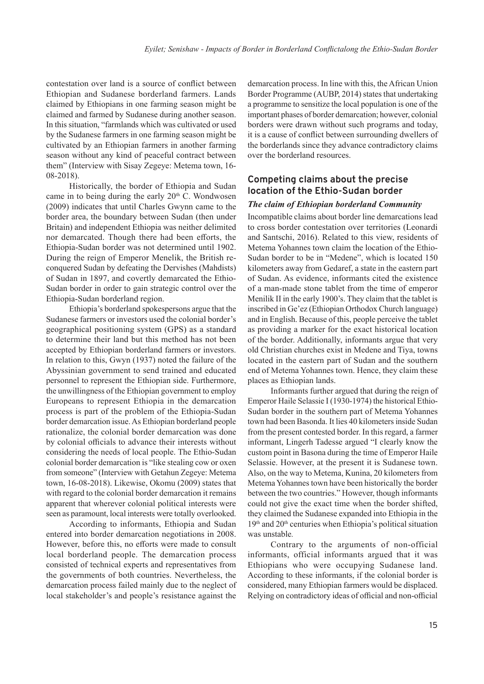contestation over land is a source of conflict between Ethiopian and Sudanese borderland farmers. Lands claimed by Ethiopians in one farming season might be claimed and farmed by Sudanese during another season. In this situation, "farmlands which was cultivated or used by the Sudanese farmers in one farming season might be cultivated by an Ethiopian farmers in another farming season without any kind of peaceful contract between them" (Interview with Sisay Zegeye: Metema town, 16- 08-2018).

Historically, the border of Ethiopia and Sudan came in to being during the early  $20<sup>th</sup>$  C. Wondwosen (2009) indicates that until Charles Gwynn came to the border area, the boundary between Sudan (then under Britain) and independent Ethiopia was neither delimited nor demarcated. Though there had been efforts, the Ethiopia-Sudan border was not determined until 1902. During the reign of Emperor Menelik, the British reconquered Sudan by defeating the Dervishes (Mahdists) of Sudan in 1897, and covertly demarcated the Ethio-Sudan border in order to gain strategic control over the Ethiopia-Sudan borderland region.

Ethiopia's borderland spokespersons argue that the Sudanese farmers or investors used the colonial border's geographical positioning system (GPS) as a standard to determine their land but this method has not been accepted by Ethiopian borderland farmers or investors. In relation to this, Gwyn (1937) noted the failure of the Abyssinian government to send trained and educated personnel to represent the Ethiopian side. Furthermore, the unwillingness of the Ethiopian government to employ Europeans to represent Ethiopia in the demarcation process is part of the problem of the Ethiopia-Sudan border demarcation issue. As Ethiopian borderland people rationalize, the colonial border demarcation was done by colonial officials to advance their interests without considering the needs of local people. The Ethio-Sudan colonial border demarcation is "like stealing cow or oxen from someone" (Interview with Getahun Zegeye: Metema town, 16-08-2018). Likewise, Okomu (2009) states that with regard to the colonial border demarcation it remains apparent that wherever colonial political interests were seen as paramount, local interests were totally overlooked.

According to informants, Ethiopia and Sudan entered into border demarcation negotiations in 2008. However, before this, no efforts were made to consult local borderland people. The demarcation process consisted of technical experts and representatives from the governments of both countries. Nevertheless, the demarcation process failed mainly due to the neglect of local stakeholder's and people's resistance against the

demarcation process. In line with this, the African Union Border Programme (AUBP, 2014) states that undertaking a programme to sensitize the local population is one of the important phases of border demarcation; however, colonial borders were drawn without such programs and today, it is a cause of conflict between surrounding dwellers of the borderlands since they advance contradictory claims over the borderland resources.

# **Competing claims about the precise location of the Ethio-Sudan border**

#### *The claim of Ethiopian borderland Community*

Incompatible claims about border line demarcations lead to cross border contestation over territories (Leonardi and Santschi, 2016). Related to this view, residents of Metema Yohannes town claim the location of the Ethio-Sudan border to be in "Medene", which is located 150 kilometers away from Gedaref, a state in the eastern part of Sudan. As evidence, informants cited the existence of a man-made stone tablet from the time of emperor Menilik II in the early 1900's. They claim that the tablet is inscribed in Ge'ez (Ethiopian Orthodox Church language) and in English. Because of this, people perceive the tablet as providing a marker for the exact historical location of the border. Additionally, informants argue that very old Christian churches exist in Medene and Tiya, towns located in the eastern part of Sudan and the southern end of Metema Yohannes town. Hence, they claim these places as Ethiopian lands.

Informants further argued that during the reign of Emperor Haile Selassie I (1930-1974) the historical Ethio-Sudan border in the southern part of Metema Yohannes town had been Basonda. It lies 40 kilometers inside Sudan from the present contested border. In this regard, a farmer informant, Lingerh Tadesse argued "I clearly know the custom point in Basona during the time of Emperor Haile Selassie. However, at the present it is Sudanese town. Also, on the way to Metema, Kunina, 20 kilometers from Metema Yohannes town have been historically the border between the two countries." However, though informants could not give the exact time when the border shifted, they claimed the Sudanese expanded into Ethiopia in the  $19<sup>th</sup>$  and  $20<sup>th</sup>$  centuries when Ethiopia's political situation was unstable*.*

Contrary to the arguments of non-official informants, official informants argued that it was Ethiopians who were occupying Sudanese land. According to these informants, if the colonial border is considered, many Ethiopian farmers would be displaced. Relying on contradictory ideas of official and non-official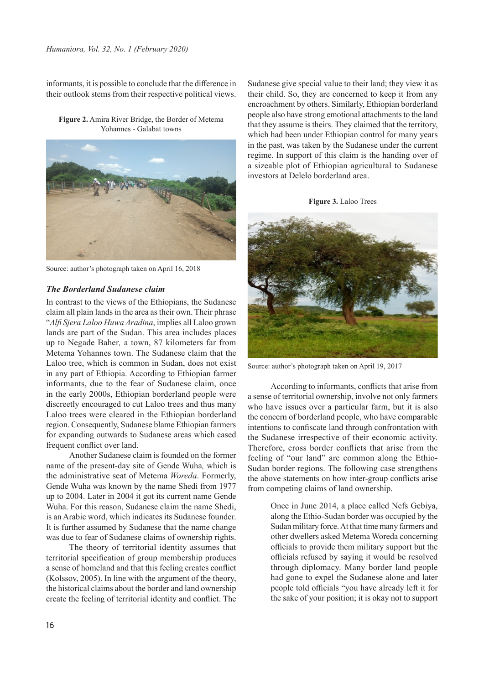#### *Humaniora, Vol. 32, No. 1 (February 2020)*

informants, it is possible to conclude that the difference in their outlook stems from their respective political views.

**Figure 2.** Amira River Bridge, the Border of Metema Yohannes - Galabat towns



Source: author's photograph taken on April 16, 2018

### *The Borderland Sudanese claim*

In contrast to the views of the Ethiopians, the Sudanese claim all plain lands in the area as their own. Their phrase "*Alfi Sjera Laloo Huwa Aradina*, implies all Laloo grown lands are part of the Sudan. This area includes places up to Negade Baher*,* a town, 87 kilometers far from Metema Yohannes town. The Sudanese claim that the Laloo tree, which is common in Sudan, does not exist in any part of Ethiopia. According to Ethiopian farmer informants, due to the fear of Sudanese claim, once in the early 2000s, Ethiopian borderland people were discreetly encouraged to cut Laloo trees and thus many Laloo trees were cleared in the Ethiopian borderland region. Consequently, Sudanese blame Ethiopian farmers for expanding outwards to Sudanese areas which cased frequent conflict over land.

Another Sudanese claim is founded on the former name of the present-day site of Gende Wuha*,* which is the administrative seat of Metema *Woreda*. Formerly, Gende Wuha was known by the name Shedi from 1977 up to 2004. Later in 2004 it got its current name Gende Wuha. For this reason, Sudanese claim the name Shedi, is an Arabic word, which indicates its Sudanese founder. It is further assumed by Sudanese that the name change was due to fear of Sudanese claims of ownership rights.

The theory of territorial identity assumes that territorial specification of group membership produces a sense of homeland and that this feeling creates conflict (Kolssov, 2005). In line with the argument of the theory, the historical claims about the border and land ownership create the feeling of territorial identity and conflict. The

Sudanese give special value to their land; they view it as their child. So, they are concerned to keep it from any encroachment by others. Similarly, Ethiopian borderland people also have strong emotional attachments to the land that they assume is theirs. They claimed that the territory, which had been under Ethiopian control for many years in the past, was taken by the Sudanese under the current regime. In support of this claim is the handing over of a sizeable plot of Ethiopian agricultural to Sudanese investors at Delelo borderland area.





Source: author's photograph taken on April 19, 2017

According to informants, conflicts that arise from a sense of territorial ownership, involve not only farmers who have issues over a particular farm, but it is also the concern of borderland people, who have comparable intentions to confiscate land through confrontation with the Sudanese irrespective of their economic activity. Therefore, cross border conflicts that arise from the feeling of "our land" are common along the Ethio-Sudan border regions. The following case strengthens the above statements on how inter-group conflicts arise from competing claims of land ownership.

> Once in June 2014, a place called Nefs Gebiya, along the Ethio-Sudan border was occupied by the Sudan military force. At that time many farmers and other dwellers asked Metema Woreda concerning officials to provide them military support but the officials refused by saying it would be resolved through diplomacy. Many border land people had gone to expel the Sudanese alone and later people told officials "you have already left it for the sake of your position; it is okay not to support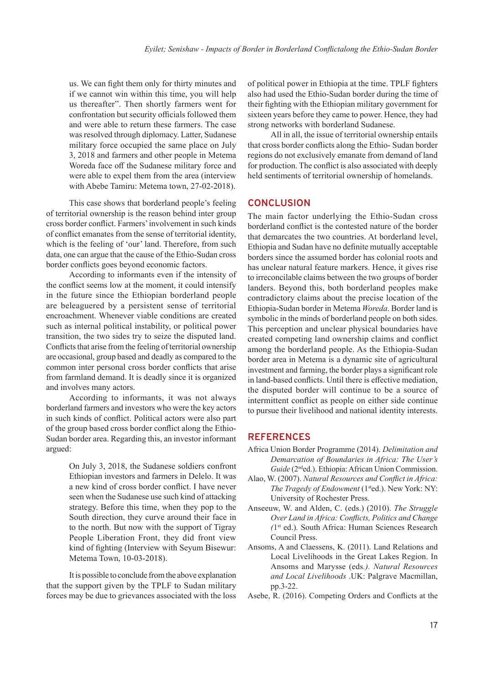us. We can fight them only for thirty minutes and if we cannot win within this time, you will help us thereafter". Then shortly farmers went for confrontation but security officials followed them and were able to return these farmers. The case was resolved through diplomacy. Latter, Sudanese military force occupied the same place on July 3, 2018 and farmers and other people in Metema Woreda face off the Sudanese military force and were able to expel them from the area (interview with Abebe Tamiru: Metema town, 27-02-2018).

This case shows that borderland people's feeling of territorial ownership is the reason behind inter group cross border conflict. Farmers' involvement in such kinds of conflict emanates from the sense of territorial identity, which is the feeling of 'our' land. Therefore, from such data, one can argue that the cause of the Ethio-Sudan cross border conflicts goes beyond economic factors.

According to informants even if the intensity of the conflict seems low at the moment, it could intensify in the future since the Ethiopian borderland people are beleaguered by a persistent sense of territorial encroachment. Whenever viable conditions are created such as internal political instability, or political power transition, the two sides try to seize the disputed land. Conflicts that arise from the feeling of territorial ownership are occasional, group based and deadly as compared to the common inter personal cross border conflicts that arise from farmland demand. It is deadly since it is organized and involves many actors.

According to informants, it was not always borderland farmers and investors who were the key actors in such kinds of conflict. Political actors were also part of the group based cross border conflict along the Ethio-Sudan border area. Regarding this, an investor informant argued:

> On July 3, 2018, the Sudanese soldiers confront Ethiopian investors and farmers in Delelo. It was a new kind of cross border conflict. I have never seen when the Sudanese use such kind of attacking strategy. Before this time, when they pop to the South direction, they curve around their face in to the north. But now with the support of Tigray People Liberation Front, they did front view kind of fighting (Interview with Seyum Bisewur: Metema Town, 10-03-2018).

It is possible to conclude from the above explanation that the support given by the TPLF to Sudan military forces may be due to grievances associated with the loss

of political power in Ethiopia at the time. TPLF fighters also had used the Ethio-Sudan border during the time of their fighting with the Ethiopian military government for sixteen years before they came to power. Hence, they had strong networks with borderland Sudanese.

All in all, the issue of territorial ownership entails that cross border conflicts along the Ethio- Sudan border regions do not exclusively emanate from demand of land for production. The conflict is also associated with deeply held sentiments of territorial ownership of homelands.

#### **CONCLUSION**

The main factor underlying the Ethio-Sudan cross borderland conflict is the contested nature of the border that demarcates the two countries. At borderland level, Ethiopia and Sudan have no definite mutually acceptable borders since the assumed border has colonial roots and has unclear natural feature markers. Hence, it gives rise to irreconcilable claims between the two groups of border landers. Beyond this, both borderland peoples make contradictory claims about the precise location of the Ethiopia-Sudan border in Metema *Woreda*. Border land is symbolic in the minds of borderland people on both sides. This perception and unclear physical boundaries have created competing land ownership claims and conflict among the borderland people. As the Ethiopia-Sudan border area in Metema is a dynamic site of agricultural investment and farming, the border plays a significant role in land-based conflicts. Until there is effective mediation, the disputed border will continue to be a source of intermittent conflict as people on either side continue to pursue their livelihood and national identity interests.

#### **REFERENCES**

- Africa Union Border Programme (2014). *Delimitation and Demarcation of Boundaries in Africa: The User's*  Guide (2<sup>nd</sup>ed.). Ethiopia: African Union Commission.
- Alao, W. (2007). *Natural Resources and Conflict in Africa: The Tragedy of Endowment* (1<sup>st</sup>ed.). New York: NY: University of Rochester Press.
- Anseeuw, W. and Alden, C. (eds.) (2010). *The Struggle Over Land in Africa: Conflicts, Politics and Change (*1 st ed.)*.* South Africa: Human Sciences Research Council Press.
- Ansoms, A and Claessens, K. (2011). Land Relations and Local Livelihoods in the Great Lakes Region. In Ansoms and Marysse (eds*.). Natural Resources and Local Livelihoods* .UK: Palgrave Macmillan, pp.3-22.
- Asebe, R. (2016). Competing Orders and Conflicts at the